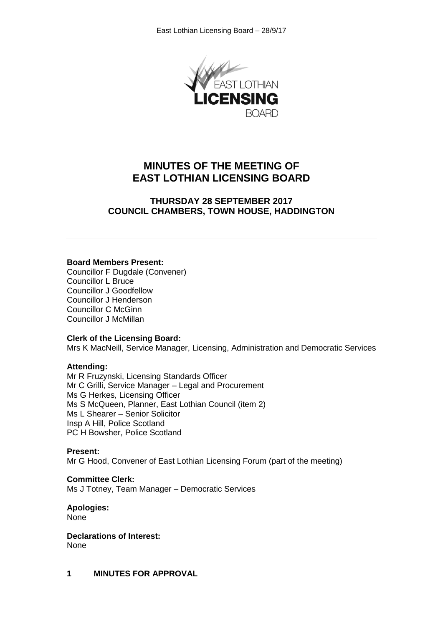

# **MINUTES OF THE MEETING OF EAST LOTHIAN LICENSING BOARD**

## **THURSDAY 28 SEPTEMBER 2017 COUNCIL CHAMBERS, TOWN HOUSE, HADDINGTON**

## **Board Members Present:**

Councillor F Dugdale (Convener) Councillor L Bruce Councillor J Goodfellow Councillor J Henderson Councillor C McGinn Councillor J McMillan

## **Clerk of the Licensing Board:**

Mrs K MacNeill, Service Manager, Licensing, Administration and Democratic Services

## **Attending:**

Mr R Fruzynski, Licensing Standards Officer Mr C Grilli, Service Manager – Legal and Procurement Ms G Herkes, Licensing Officer Ms S McQueen, Planner, East Lothian Council (item 2) Ms L Shearer – Senior Solicitor Insp A Hill, Police Scotland PC H Bowsher, Police Scotland

## **Present:**

Mr G Hood, Convener of East Lothian Licensing Forum (part of the meeting)

## **Committee Clerk:**

Ms J Totney, Team Manager – Democratic Services

## **Apologies:**

None

**Declarations of Interest:** None

**1 MINUTES FOR APPROVAL**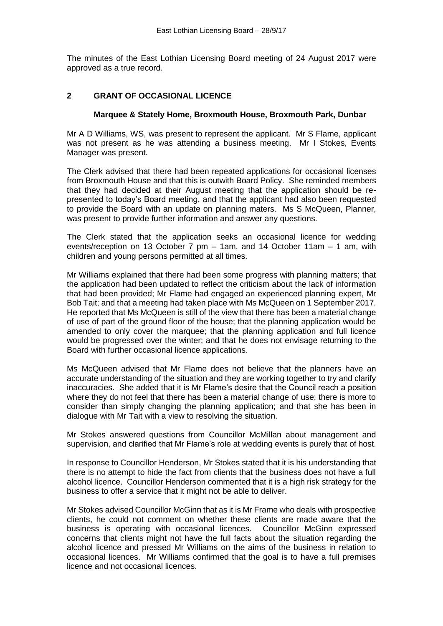The minutes of the East Lothian Licensing Board meeting of 24 August 2017 were approved as a true record.

## **2 GRANT OF OCCASIONAL LICENCE**

### **Marquee & Stately Home, Broxmouth House, Broxmouth Park, Dunbar**

Mr A D Williams, WS, was present to represent the applicant. Mr S Flame, applicant was not present as he was attending a business meeting. Mr I Stokes, Events Manager was present.

The Clerk advised that there had been repeated applications for occasional licenses from Broxmouth House and that this is outwith Board Policy. She reminded members that they had decided at their August meeting that the application should be represented to today's Board meeting, and that the applicant had also been requested to provide the Board with an update on planning maters. Ms S McQueen, Planner, was present to provide further information and answer any questions.

The Clerk stated that the application seeks an occasional licence for wedding events/reception on 13 October 7 pm – 1am, and 14 October 11am – 1 am, with children and young persons permitted at all times.

Mr Williams explained that there had been some progress with planning matters; that the application had been updated to reflect the criticism about the lack of information that had been provided; Mr Flame had engaged an experienced planning expert, Mr Bob Tait; and that a meeting had taken place with Ms McQueen on 1 September 2017. He reported that Ms McQueen is still of the view that there has been a material change of use of part of the ground floor of the house; that the planning application would be amended to only cover the marquee; that the planning application and full licence would be progressed over the winter; and that he does not envisage returning to the Board with further occasional licence applications.

Ms McQueen advised that Mr Flame does not believe that the planners have an accurate understanding of the situation and they are working together to try and clarify inaccuracies. She added that it is Mr Flame's desire that the Council reach a position where they do not feel that there has been a material change of use; there is more to consider than simply changing the planning application; and that she has been in dialogue with Mr Tait with a view to resolving the situation.

Mr Stokes answered questions from Councillor McMillan about management and supervision, and clarified that Mr Flame's role at wedding events is purely that of host.

In response to Councillor Henderson, Mr Stokes stated that it is his understanding that there is no attempt to hide the fact from clients that the business does not have a full alcohol licence. Councillor Henderson commented that it is a high risk strategy for the business to offer a service that it might not be able to deliver.

Mr Stokes advised Councillor McGinn that as it is Mr Frame who deals with prospective clients, he could not comment on whether these clients are made aware that the business is operating with occasional licences. Councillor McGinn expressed concerns that clients might not have the full facts about the situation regarding the alcohol licence and pressed Mr Williams on the aims of the business in relation to occasional licences. Mr Williams confirmed that the goal is to have a full premises licence and not occasional licences.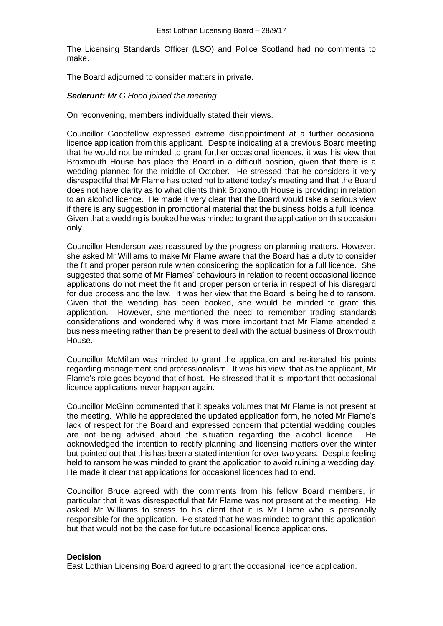The Licensing Standards Officer (LSO) and Police Scotland had no comments to make.

The Board adjourned to consider matters in private.

### *Sederunt: Mr G Hood joined the meeting*

On reconvening, members individually stated their views.

Councillor Goodfellow expressed extreme disappointment at a further occasional licence application from this applicant. Despite indicating at a previous Board meeting that he would not be minded to grant further occasional licences, it was his view that Broxmouth House has place the Board in a difficult position, given that there is a wedding planned for the middle of October. He stressed that he considers it very disrespectful that Mr Flame has opted not to attend today's meeting and that the Board does not have clarity as to what clients think Broxmouth House is providing in relation to an alcohol licence. He made it very clear that the Board would take a serious view if there is any suggestion in promotional material that the business holds a full licence. Given that a wedding is booked he was minded to grant the application on this occasion only.

Councillor Henderson was reassured by the progress on planning matters. However, she asked Mr Williams to make Mr Flame aware that the Board has a duty to consider the fit and proper person rule when considering the application for a full licence. She suggested that some of Mr Flames' behaviours in relation to recent occasional licence applications do not meet the fit and proper person criteria in respect of his disregard for due process and the law. It was her view that the Board is being held to ransom. Given that the wedding has been booked, she would be minded to grant this application. However, she mentioned the need to remember trading standards considerations and wondered why it was more important that Mr Flame attended a business meeting rather than be present to deal with the actual business of Broxmouth House.

Councillor McMillan was minded to grant the application and re-iterated his points regarding management and professionalism. It was his view, that as the applicant, Mr Flame's role goes beyond that of host. He stressed that it is important that occasional licence applications never happen again.

Councillor McGinn commented that it speaks volumes that Mr Flame is not present at the meeting. While he appreciated the updated application form, he noted Mr Flame's lack of respect for the Board and expressed concern that potential wedding couples are not being advised about the situation regarding the alcohol licence. He acknowledged the intention to rectify planning and licensing matters over the winter but pointed out that this has been a stated intention for over two years. Despite feeling held to ransom he was minded to grant the application to avoid ruining a wedding day. He made it clear that applications for occasional licences had to end.

Councillor Bruce agreed with the comments from his fellow Board members, in particular that it was disrespectful that Mr Flame was not present at the meeting. He asked Mr Williams to stress to his client that it is Mr Flame who is personally responsible for the application. He stated that he was minded to grant this application but that would not be the case for future occasional licence applications.

### **Decision**

East Lothian Licensing Board agreed to grant the occasional licence application.